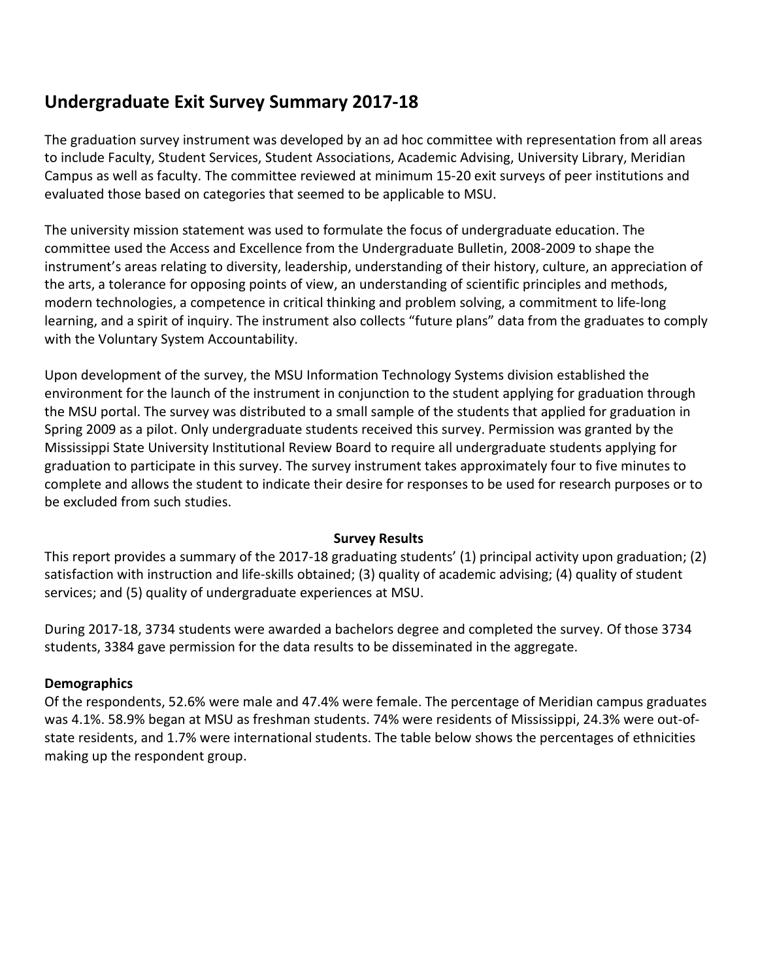# **Undergraduate Exit Survey Summary 2017-18**

The graduation survey instrument was developed by an ad hoc committee with representation from all areas to include Faculty, Student Services, Student Associations, Academic Advising, University Library, Meridian Campus as well as faculty. The committee reviewed at minimum 15-20 exit surveys of peer institutions and evaluated those based on categories that seemed to be applicable to MSU.

The university mission statement was used to formulate the focus of undergraduate education. The committee used the Access and Excellence from the Undergraduate Bulletin, 2008-2009 to shape the instrument's areas relating to diversity, leadership, understanding of their history, culture, an appreciation of the arts, a tolerance for opposing points of view, an understanding of scientific principles and methods, modern technologies, a competence in critical thinking and problem solving, a commitment to life-long learning, and a spirit of inquiry. The instrument also collects "future plans" data from the graduates to comply with the Voluntary System Accountability.

Upon development of the survey, the MSU Information Technology Systems division established the environment for the launch of the instrument in conjunction to the student applying for graduation through the MSU portal. The survey was distributed to a small sample of the students that applied for graduation in Spring 2009 as a pilot. Only undergraduate students received this survey. Permission was granted by the Mississippi State University Institutional Review Board to require all undergraduate students applying for graduation to participate in this survey. The survey instrument takes approximately four to five minutes to complete and allows the student to indicate their desire for responses to be used for research purposes or to be excluded from such studies.

#### **Survey Results**

This report provides a summary of the 2017-18 graduating students' (1) principal activity upon graduation; (2) satisfaction with instruction and life-skills obtained; (3) quality of academic advising; (4) quality of student services; and (5) quality of undergraduate experiences at MSU.

During 2017-18, 3734 students were awarded a bachelors degree and completed the survey. Of those 3734 students, 3384 gave permission for the data results to be disseminated in the aggregate.

### **Demographics**

Of the respondents, 52.6% were male and 47.4% were female. The percentage of Meridian campus graduates was 4.1%. 58.9% began at MSU as freshman students. 74% were residents of Mississippi, 24.3% were out-ofstate residents, and 1.7% were international students. The table below shows the percentages of ethnicities making up the respondent group.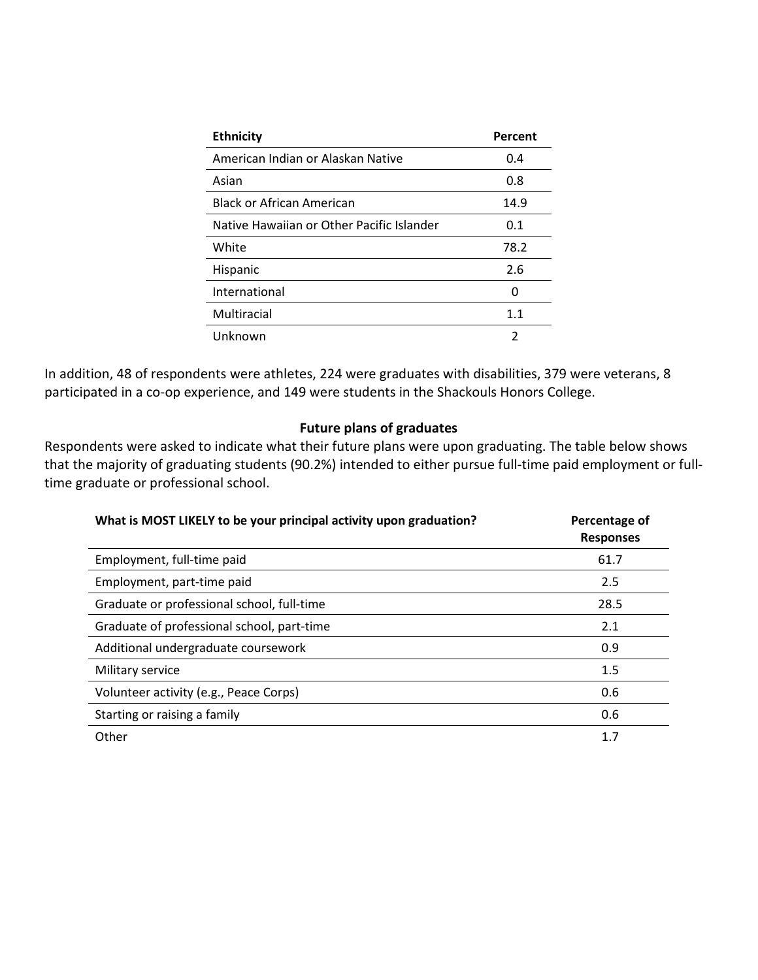| <b>Ethnicity</b>                          | Percent |
|-------------------------------------------|---------|
| American Indian or Alaskan Native         | 0.4     |
| Asian                                     | 0.8     |
| <b>Black or African American</b>          | 14.9    |
| Native Hawaiian or Other Pacific Islander | 0.1     |
| White                                     | 78.2    |
| Hispanic                                  | 2.6     |
| International                             | O       |
| Multiracial                               | 1.1     |
| Unknown                                   | 2       |

In addition, 48 of respondents were athletes, 224 were graduates with disabilities, 379 were veterans, 8 participated in a co-op experience, and 149 were students in the Shackouls Honors College.

#### **Future plans of graduates**

Respondents were asked to indicate what their future plans were upon graduating. The table below shows that the majority of graduating students (90.2%) intended to either pursue full-time paid employment or fulltime graduate or professional school.

| What is MOST LIKELY to be your principal activity upon graduation? | Percentage of<br><b>Responses</b> |
|--------------------------------------------------------------------|-----------------------------------|
| Employment, full-time paid                                         | 61.7                              |
| Employment, part-time paid                                         | 2.5                               |
| Graduate or professional school, full-time                         | 28.5                              |
| Graduate of professional school, part-time                         | 2.1                               |
| Additional undergraduate coursework                                | 0.9                               |
| Military service                                                   | 1.5                               |
| Volunteer activity (e.g., Peace Corps)                             | 0.6                               |
| Starting or raising a family                                       | 0.6                               |
| Other                                                              | 1.7                               |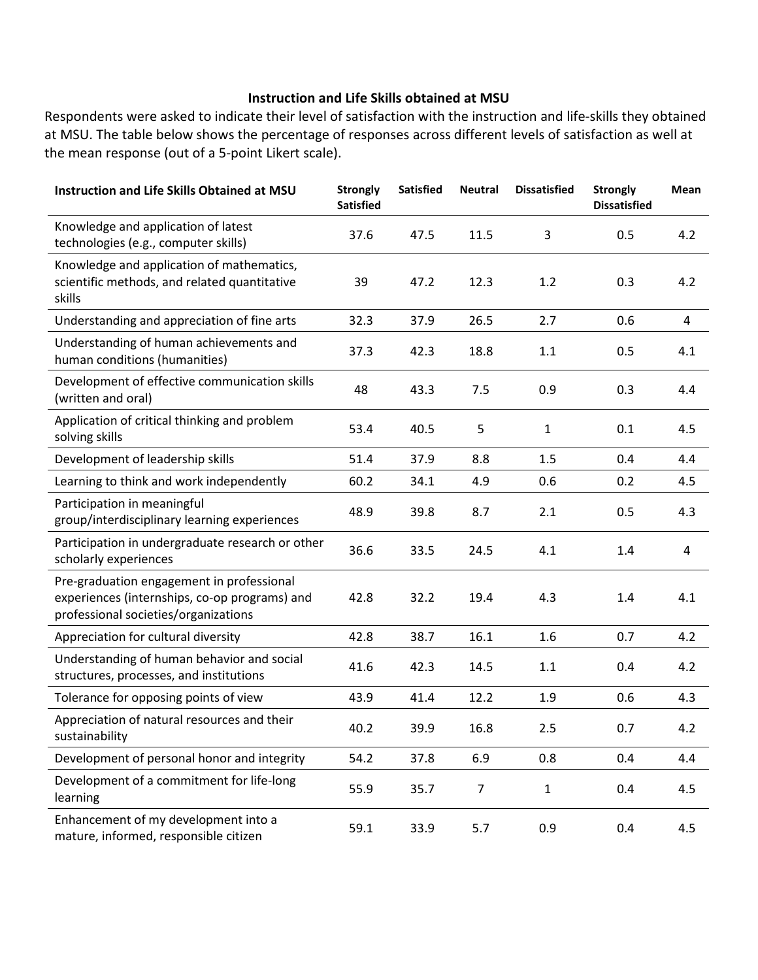### **Instruction and Life Skills obtained at MSU**

Respondents were asked to indicate their level of satisfaction with the instruction and life-skills they obtained at MSU. The table below shows the percentage of responses across different levels of satisfaction as well at the mean response (out of a 5-point Likert scale).

| Instruction and Life Skills Obtained at MSU                                                                                        | <b>Strongly</b><br><b>Satisfied</b> | <b>Satisfied</b> | <b>Neutral</b> | <b>Dissatisfied</b> | <b>Strongly</b><br><b>Dissatisfied</b> | Mean           |
|------------------------------------------------------------------------------------------------------------------------------------|-------------------------------------|------------------|----------------|---------------------|----------------------------------------|----------------|
| Knowledge and application of latest<br>technologies (e.g., computer skills)                                                        | 37.6                                | 47.5             | 11.5           | 3                   | 0.5                                    | 4.2            |
| Knowledge and application of mathematics,<br>scientific methods, and related quantitative<br>skills                                | 39                                  | 47.2             | 12.3           | 1.2                 | 0.3                                    | 4.2            |
| Understanding and appreciation of fine arts                                                                                        | 32.3                                | 37.9             | 26.5           | 2.7                 | 0.6                                    | $\overline{4}$ |
| Understanding of human achievements and<br>human conditions (humanities)                                                           | 37.3                                | 42.3             | 18.8           | 1.1                 | 0.5                                    | 4.1            |
| Development of effective communication skills<br>(written and oral)                                                                | 48                                  | 43.3             | 7.5            | 0.9                 | 0.3                                    | 4.4            |
| Application of critical thinking and problem<br>solving skills                                                                     | 53.4                                | 40.5             | 5              | 1                   | 0.1                                    | 4.5            |
| Development of leadership skills                                                                                                   | 51.4                                | 37.9             | 8.8            | 1.5                 | 0.4                                    | 4.4            |
| Learning to think and work independently                                                                                           | 60.2                                | 34.1             | 4.9            | 0.6                 | 0.2                                    | 4.5            |
| Participation in meaningful<br>group/interdisciplinary learning experiences                                                        | 48.9                                | 39.8             | 8.7            | 2.1                 | 0.5                                    | 4.3            |
| Participation in undergraduate research or other<br>scholarly experiences                                                          | 36.6                                | 33.5             | 24.5           | 4.1                 | 1.4                                    | 4              |
| Pre-graduation engagement in professional<br>experiences (internships, co-op programs) and<br>professional societies/organizations | 42.8                                | 32.2             | 19.4           | 4.3                 | 1.4                                    | 4.1            |
| Appreciation for cultural diversity                                                                                                | 42.8                                | 38.7             | 16.1           | 1.6                 | 0.7                                    | 4.2            |
| Understanding of human behavior and social<br>structures, processes, and institutions                                              | 41.6                                | 42.3             | 14.5           | 1.1                 | 0.4                                    | 4.2            |
| Tolerance for opposing points of view                                                                                              | 43.9                                | 41.4             | 12.2           | 1.9                 | 0.6                                    | 4.3            |
| Appreciation of natural resources and their<br>sustainability                                                                      | 40.2                                | 39.9             | 16.8           | 2.5                 | 0.7                                    | 4.2            |
| Development of personal honor and integrity                                                                                        | 54.2                                | 37.8             | 6.9            | 0.8                 | 0.4                                    | 4.4            |
| Development of a commitment for life-long<br>learning                                                                              | 55.9                                | 35.7             | $\overline{7}$ | $\mathbf{1}$        | 0.4                                    | 4.5            |
| Enhancement of my development into a<br>mature, informed, responsible citizen                                                      | 59.1                                | 33.9             | 5.7            | 0.9                 | 0.4                                    | 4.5            |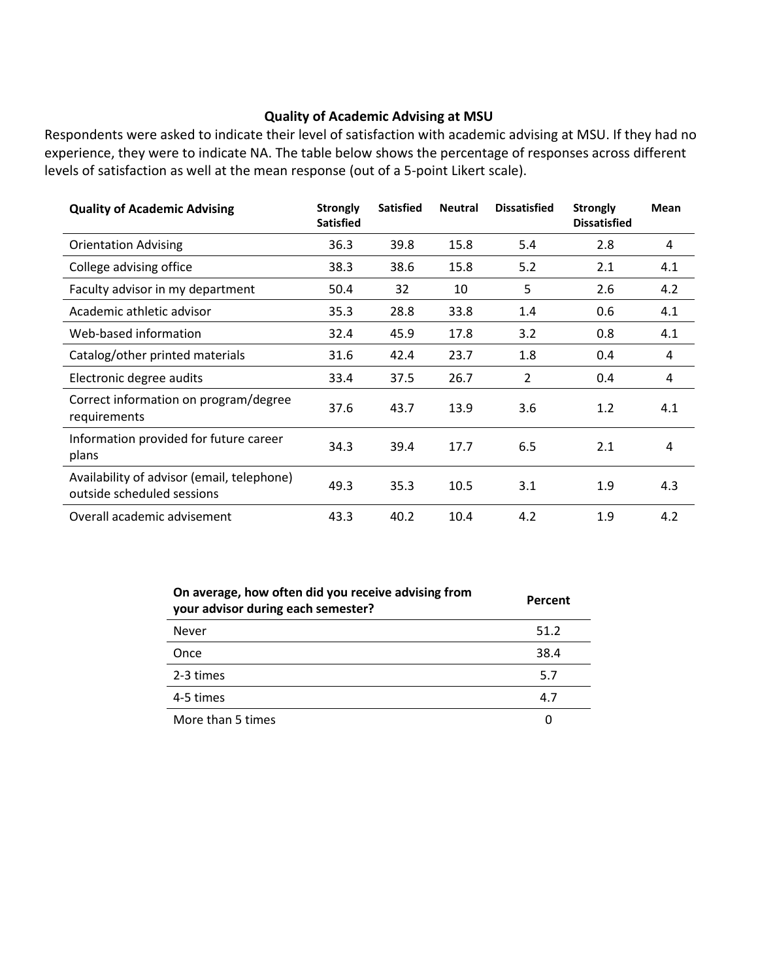#### **Quality of Academic Advising at MSU**

Respondents were asked to indicate their level of satisfaction with academic advising at MSU. If they had no experience, they were to indicate NA. The table below shows the percentage of responses across different levels of satisfaction as well at the mean response (out of a 5-point Likert scale).

| <b>Quality of Academic Advising</b>                                      | <b>Strongly</b><br><b>Satisfied</b> | <b>Satisfied</b> | <b>Neutral</b> | <b>Dissatisfied</b> | <b>Strongly</b><br><b>Dissatisfied</b> | <b>Mean</b> |
|--------------------------------------------------------------------------|-------------------------------------|------------------|----------------|---------------------|----------------------------------------|-------------|
| <b>Orientation Advising</b>                                              | 36.3                                | 39.8             | 15.8           | 5.4                 | 2.8                                    | 4           |
| College advising office                                                  | 38.3                                | 38.6             | 15.8           | 5.2                 | 2.1                                    | 4.1         |
| Faculty advisor in my department                                         | 50.4                                | 32               | 10             | 5                   | 2.6                                    | 4.2         |
| Academic athletic advisor                                                | 35.3                                | 28.8             | 33.8           | 1.4                 | 0.6                                    | 4.1         |
| Web-based information                                                    | 32.4                                | 45.9             | 17.8           | 3.2                 | 0.8                                    | 4.1         |
| Catalog/other printed materials                                          | 31.6                                | 42.4             | 23.7           | 1.8                 | 0.4                                    | 4           |
| Electronic degree audits                                                 | 33.4                                | 37.5             | 26.7           | 2                   | 0.4                                    | 4           |
| Correct information on program/degree<br>requirements                    | 37.6                                | 43.7             | 13.9           | 3.6                 | 1.2                                    | 4.1         |
| Information provided for future career<br>plans                          | 34.3                                | 39.4             | 17.7           | 6.5                 | 2.1                                    | 4           |
| Availability of advisor (email, telephone)<br>outside scheduled sessions | 49.3                                | 35.3             | 10.5           | 3.1                 | 1.9                                    | 4.3         |
| Overall academic advisement                                              | 43.3                                | 40.2             | 10.4           | 4.2                 | 1.9                                    | 4.2         |

| On average, how often did you receive advising from<br>your advisor during each semester? | Percent |
|-------------------------------------------------------------------------------------------|---------|
| Never                                                                                     | 51.2    |
| Once                                                                                      | 38.4    |
| 2-3 times                                                                                 | 5.7     |
| 4-5 times                                                                                 | 4.7     |
| More than 5 times                                                                         | 0       |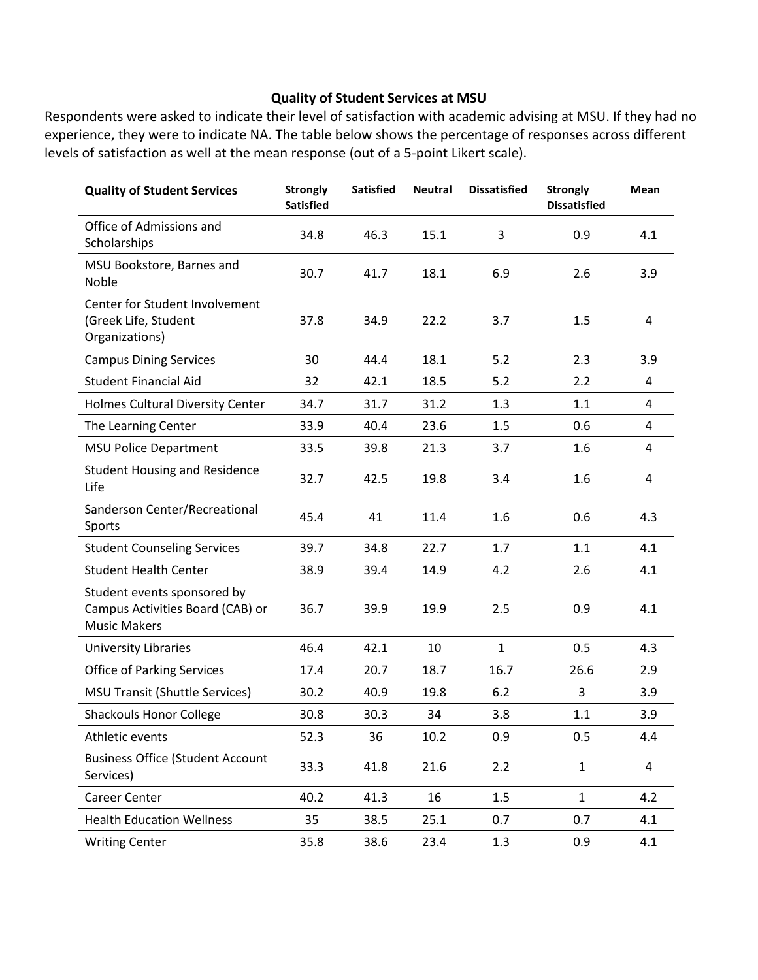### **Quality of Student Services at MSU**

Respondents were asked to indicate their level of satisfaction with academic advising at MSU. If they had no experience, they were to indicate NA. The table below shows the percentage of responses across different levels of satisfaction as well at the mean response (out of a 5-point Likert scale).

| <b>Quality of Student Services</b>                                                     | <b>Strongly</b><br><b>Satisfied</b> | <b>Satisfied</b> | <b>Neutral</b> | <b>Dissatisfied</b> | <b>Strongly</b><br><b>Dissatisfied</b> | <b>Mean</b>             |
|----------------------------------------------------------------------------------------|-------------------------------------|------------------|----------------|---------------------|----------------------------------------|-------------------------|
| Office of Admissions and<br>Scholarships                                               | 34.8                                | 46.3             | 15.1           | 3                   | 0.9                                    | 4.1                     |
| MSU Bookstore, Barnes and<br>Noble                                                     | 30.7                                | 41.7             | 18.1           | 6.9                 | 2.6                                    | 3.9                     |
| Center for Student Involvement<br>(Greek Life, Student<br>Organizations)               | 37.8                                | 34.9             | 22.2           | 3.7                 | 1.5                                    | $\overline{4}$          |
| <b>Campus Dining Services</b>                                                          | 30                                  | 44.4             | 18.1           | 5.2                 | 2.3                                    | 3.9                     |
| <b>Student Financial Aid</b>                                                           | 32                                  | 42.1             | 18.5           | 5.2                 | 2.2                                    | 4                       |
| Holmes Cultural Diversity Center                                                       | 34.7                                | 31.7             | 31.2           | 1.3                 | 1.1                                    | 4                       |
| The Learning Center                                                                    | 33.9                                | 40.4             | 23.6           | 1.5                 | 0.6                                    | 4                       |
| <b>MSU Police Department</b>                                                           | 33.5                                | 39.8             | 21.3           | 3.7                 | 1.6                                    | 4                       |
| <b>Student Housing and Residence</b><br>Life                                           | 32.7                                | 42.5             | 19.8           | 3.4                 | 1.6                                    | 4                       |
| Sanderson Center/Recreational<br>Sports                                                | 45.4                                | 41               | 11.4           | 1.6                 | 0.6                                    | 4.3                     |
| <b>Student Counseling Services</b>                                                     | 39.7                                | 34.8             | 22.7           | 1.7                 | 1.1                                    | 4.1                     |
| <b>Student Health Center</b>                                                           | 38.9                                | 39.4             | 14.9           | 4.2                 | 2.6                                    | 4.1                     |
| Student events sponsored by<br>Campus Activities Board (CAB) or<br><b>Music Makers</b> | 36.7                                | 39.9             | 19.9           | 2.5                 | 0.9                                    | 4.1                     |
| <b>University Libraries</b>                                                            | 46.4                                | 42.1             | 10             | $\mathbf{1}$        | 0.5                                    | 4.3                     |
| <b>Office of Parking Services</b>                                                      | 17.4                                | 20.7             | 18.7           | 16.7                | 26.6                                   | 2.9                     |
| <b>MSU Transit (Shuttle Services)</b>                                                  | 30.2                                | 40.9             | 19.8           | 6.2                 | 3                                      | 3.9                     |
| <b>Shackouls Honor College</b>                                                         | 30.8                                | 30.3             | 34             | 3.8                 | 1.1                                    | 3.9                     |
| Athletic events                                                                        | 52.3                                | 36               | 10.2           | 0.9                 | 0.5                                    | 4.4                     |
| <b>Business Office (Student Account</b><br>Services)                                   | 33.3                                | 41.8             | 21.6           | 2.2                 | $\mathbf{1}$                           | $\overline{\mathbf{4}}$ |
| Career Center                                                                          | 40.2                                | 41.3             | 16             | 1.5                 | $\mathbf{1}$                           | 4.2                     |
| <b>Health Education Wellness</b>                                                       | 35                                  | 38.5             | 25.1           | 0.7                 | 0.7                                    | 4.1                     |
| <b>Writing Center</b>                                                                  | 35.8                                | 38.6             | 23.4           | 1.3                 | 0.9                                    | 4.1                     |